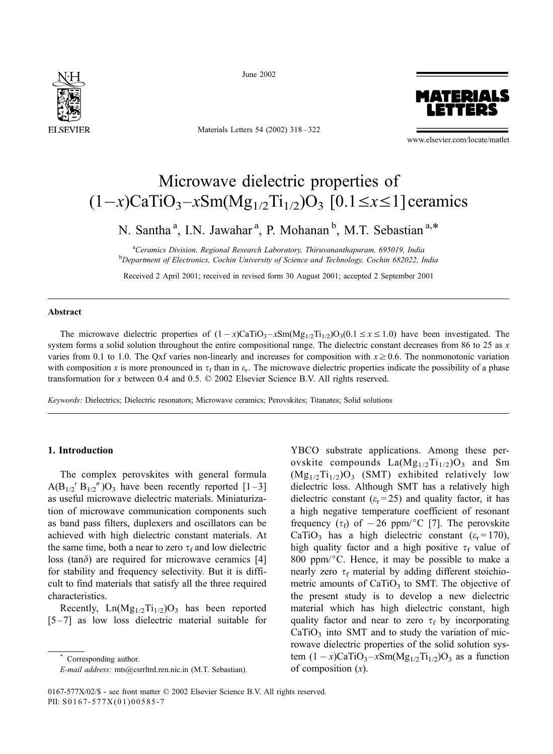

June 2002

Materials Letters 54 (2002) 318 – 322



www.elsevier.com/locate/matlet

# Microwave dielectric properties of  $(1-x)CaTiO<sub>3</sub>-xSm(Mg<sub>1/2</sub>Ti<sub>1/2</sub>)O<sub>3</sub>$  [0.1  $\leq x \leq 1$ ] ceramics

N. Santha<sup>a</sup>, I.N. Jawahar<sup>a</sup>, P. Mohanan<sup>b</sup>, M.T. Sebastian<sup>a,\*</sup>

<sup>a</sup>Ceramics Division, Regional Research Laboratory, Thiruvananthapuram, 695019, India **b** Department of Electronics, Cochin University of Science and Technology, Cochin 682022, India

Received 2 April 2001; received in revised form 30 August 2001; accepted 2 September 2001

## Abstract

The microwave dielectric properties of  $(1 - x)$ CaTiO<sub>3</sub> –xSm(Mg<sub>1/2</sub>Ti<sub>1/2</sub>)O<sub>3</sub>(0.1  $\le x \le 1.0$ ) have been investigated. The system forms a solid solution throughout the entire compositional range. The dielectric constant decreases from 86 to 25 as  $x$ varies from 0.1 to 1.0. The Qxf varies non-linearly and increases for composition with  $x \ge 0.6$ . The nonmonotonic variation with composition x is more pronounced in  $\tau_f$  than in  $\varepsilon_f$ . The microwave dielectric properties indicate the possibility of a phase transformation for x between 0.4 and 0.5.  $\odot$  2002 Elsevier Science B.V. All rights reserved.

Keywords: Dielectrics; Dielectric resonators; Microwave ceramics; Perovskites; Titanates; Solid solutions

### 1. Introduction

The complex perovskites with general formula  $A(B_{1/2} \, B_{1/2} \, \prime) O_3$  have been recently reported [1-3] as useful microwave dielectric materials. Miniaturization of microwave communication components such as band pass filters, duplexers and oscillators can be achieved with high dielectric constant materials. At the same time, both a near to zero  $\tau_f$  and low dielectric loss (tan $\delta$ ) are required for microwave ceramics [4] for stability and frequency selectivity. But it is difficult to find materials that satisfy all the three required characteristics.

Recently,  $Ln(Mg_{1/2}Ti_{1/2})O_3$  has been reported [5– 7] as low loss dielectric material suitable for

Corresponding author.

YBCO substrate applications. Among these perovskite compounds  $La(Mg_{1/2}Ti_{1/2})O_3$  and Sm  $(Mg_{1/2}Ti_{1/2})O_3$  (SMT) exhibited relatively low dielectric loss. Although SMT has a relatively high dielectric constant ( $\varepsilon$ <sub>r</sub> = 25) and quality factor, it has a high negative temperature coefficient of resonant frequency  $(\tau_f)$  of  $-26$  ppm/°C [7]. The perovskite CaTiO<sub>3</sub> has a high dielectric constant ( $\varepsilon$ <sub>r</sub> = 170), high quality factor and a high positive  $\tau_f$  value of 800 ppm/ $\degree$ C. Hence, it may be possible to make a nearly zero  $\tau_f$  material by adding different stoichiometric amounts of  $CaTiO<sub>3</sub>$  to SMT. The objective of the present study is to develop a new dielectric material which has high dielectric constant, high quality factor and near to zero  $\tau_f$  by incorporating  $CaTiO<sub>3</sub>$  into SMT and to study the variation of microwave dielectric properties of the solid solution system  $(1 - x)$ CaTiO<sub>3</sub> $-x$ Sm(Mg<sub>1/2</sub>Ti<sub>1/2</sub>)O<sub>3</sub> as a function of composition  $(x)$ .

E-mail address: mts@csrrltrd.ren.nic.in (M.T. Sebastian).

<sup>0167-577</sup>X/02/\$ - see front matter © 2002 Elsevier Science B.V. All rights reserved. PII: S0167-577X(01)00585-7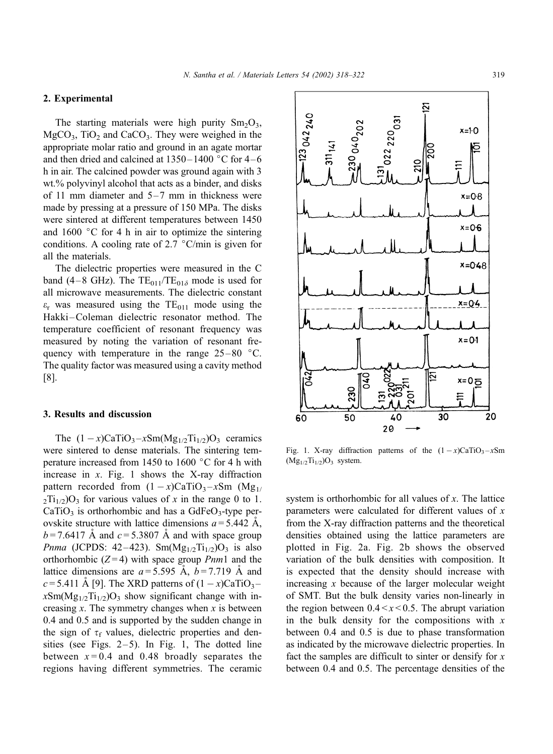$-123042240$ 

 $230040_{202}$ 

# 2. Experimental

The starting materials were high purity  $Sm<sub>2</sub>O<sub>3</sub>$ ,  $MgCO<sub>3</sub>$ , TiO<sub>2</sub> and CaCO<sub>3</sub>. They were weighed in the appropriate molar ratio and ground in an agate mortar and then dried and calcined at  $1350 - 1400$  °C for 4–6 h in air. The calcined powder was ground again with 3 wt.% polyvinyl alcohol that acts as a binder, and disks of 11 mm diameter and  $5-7$  mm in thickness were made by pressing at a pressure of 150 MPa. The disks were sintered at different temperatures between 1450 and  $1600$  °C for 4 h in air to optimize the sintering conditions. A cooling rate of 2.7  $\degree$ C/min is given for all the materials.

The dielectric properties were measured in the C band (4-8 GHz). The  $TE_{011}/TE_{01\delta}$  mode is used for all microwave measurements. The dielectric constant  $\varepsilon$ <sub>r</sub> was measured using the TE<sub>011</sub> mode using the Hakki –Coleman dielectric resonator method. The temperature coefficient of resonant frequency was measured by noting the variation of resonant frequency with temperature in the range  $25-80$  °C. The quality factor was measured using a cavity method [8].

## 3. Results and discussion

The  $(1 - x)$ CaTiO<sub>3</sub> $-x$ Sm(Mg<sub>1/2</sub>Ti<sub>1/2</sub>)O<sub>3</sub> ceramics were sintered to dense materials. The sintering temperature increased from 1450 to 1600  $\degree$ C for 4 h with increase in  $x$ . Fig. 1 shows the X-ray diffraction pattern recorded from  $(1 - x)$ CaTiO<sub>3</sub>-xSm (Mg<sub>1/</sub>  $2Ti_{1/2}$ )O<sub>3</sub> for various values of x in the range 0 to 1.  $CaTiO<sub>3</sub>$  is orthorhombic and has a GdFe $O<sub>3</sub>$ -type perovskite structure with lattice dimensions  $a = 5.442$  Å,  $b = 7.6417$  Å and  $c = 5.3807$  Å and with space group *Pnma* (JCPDS: 42–423). Sm(Mg<sub>1/2</sub>Ti<sub>1/2</sub>)O<sub>3</sub> is also orthorhombic  $(Z=4)$  with space group *Pnm*1 and the lattice dimensions are  $a = 5.595$  Å,  $b = 7.719$  Å and  $c = 5.411$  A [9]. The XRD patterns of  $(1 - x)$ CaTiO<sub>3</sub> $x\text{Sm}(Mg_{1/2}Ti_{1/2})O_3$  show significant change with increasing  $x$ . The symmetry changes when  $x$  is between 0.4 and 0.5 and is supported by the sudden change in the sign of  $\tau_f$  values, dielectric properties and densities (see Figs.  $2-5$ ). In Fig. 1, The dotted line between  $x = 0.4$  and 0.48 broadly separates the regions having different symmetries. The ceramic

 $x = 0.1$ ΣĪ.  $x=0$ 50 40 30 20 60 20

Fig. 1. X-ray diffraction patterns of the  $(1 - x)CaTiO<sub>3</sub> - xSm$  $(Mg_{1/2}Ti_{1/2})O_3$  system.

system is orthorhombic for all values of x. The lattice parameters were calculated for different values of  $x$ from the X-ray diffraction patterns and the theoretical densities obtained using the lattice parameters are plotted in Fig. 2a. Fig. 2b shows the observed variation of the bulk densities with composition. It is expected that the density should increase with increasing  $x$  because of the larger molecular weight of SMT. But the bulk density varies non-linearly in the region between  $0.4 \le x \le 0.5$ . The abrupt variation in the bulk density for the compositions with  $x$ between 0.4 and 0.5 is due to phase transformation as indicated by the microwave dielectric properties. In fact the samples are difficult to sinter or densify for  $x$ between 0.4 and 0.5. The percentage densities of the



 $x = 0.4$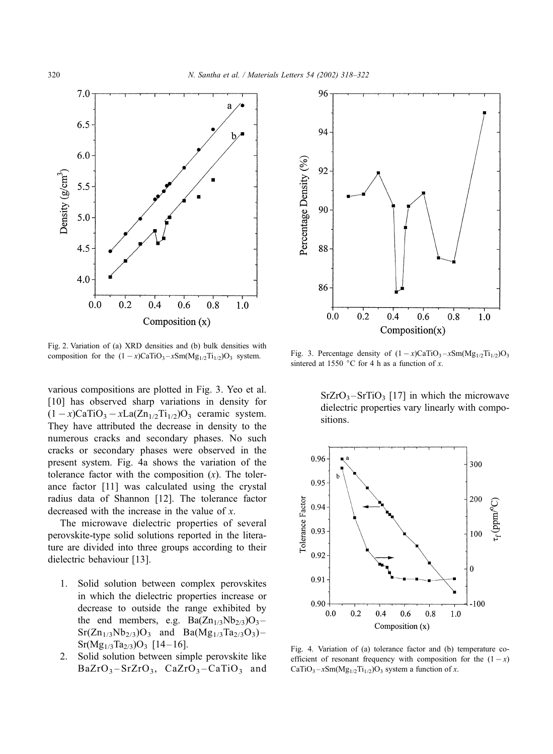

Fig. 2. Variation of (a) XRD densities and (b) bulk densities with composition for the  $(1 - x)$ CaTiO<sub>3</sub> –  $x$ Sm(Mg<sub>1/2</sub>Ti<sub>1/2</sub>)O<sub>3</sub> system.

various compositions are plotted in Fig. 3. Yeo et al. [10] has observed sharp variations in density for  $(1 - x)$ CaTiO<sub>3</sub> - xLa(Zn<sub>1/2</sub>Ti<sub>1/2</sub>)O<sub>3</sub> ceramic system. They have attributed the decrease in density to the numerous cracks and secondary phases. No such cracks or secondary phases were observed in the present system. Fig. 4a shows the variation of the tolerance factor with the composition  $(x)$ . The tolerance factor [11] was calculated using the crystal radius data of Shannon [12]. The tolerance factor decreased with the increase in the value of x.

The microwave dielectric properties of several perovskite-type solid solutions reported in the literature are divided into three groups according to their dielectric behaviour [13].

- 1. Solid solution between complex perovskites in which the dielectric properties increase or decrease to outside the range exhibited by the end members, e.g.  $Ba(Zn_{1/3}Nb_{2/3})O_3$ - $Sr(Zn_{1/3}Nb_{2/3})O_3$  and  $Ba(Mg_{1/3}Ta_{2/3}O_3)$  –  $Sr(Mg<sub>1/3</sub>Ta<sub>2/3</sub>)O<sub>3</sub>$  [14-16].
- 2. Solid solution between simple perovskite like  $BaZrO<sub>3</sub> - SrZrO<sub>3</sub>$ ,  $CaZrO<sub>3</sub> - CaTiO<sub>3</sub>$  and



Fig. 3. Percentage density of  $(1 - x)$ CaTiO<sub>3</sub> –  $x$ Sm(Mg<sub>1/2</sub>Ti<sub>1/2</sub>)O<sub>3</sub> sintered at 1550 °C for 4 h as a function of x.

 $SrZrO<sub>3</sub> - SrTiO<sub>3</sub>$  [17] in which the microwave dielectric properties vary linearly with compositions.



Fig. 4. Variation of (a) tolerance factor and (b) temperature coefficient of resonant frequency with composition for the  $(1 - x)$ CaTiO<sub>3</sub> $-x$ Sm(Mg<sub>1/2</sub>Ti<sub>1/2</sub>)O<sub>3</sub> system a function of x.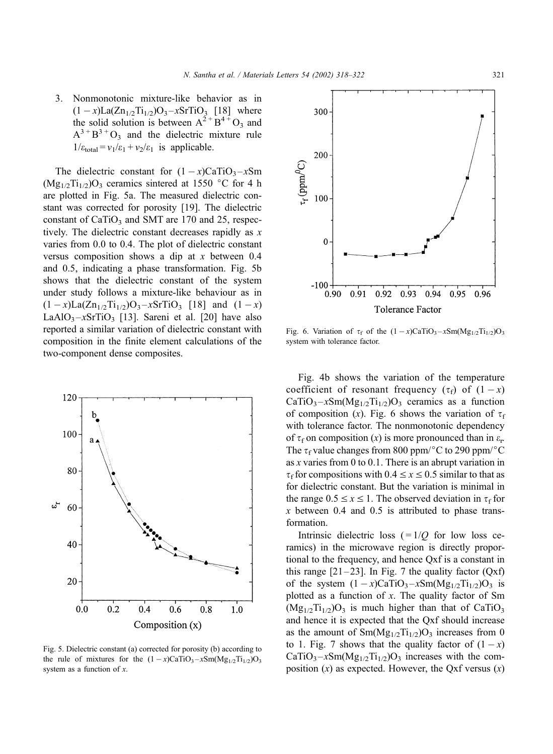3. Nonmonotonic mixture-like behavior as in  $(1 - x)La(Zn_{1/2}Ti_{1/2})O_3 - xSrTiO_3$  [18] where the solid solution is between  $A^{2+}B^{4+}O_3$  and  $A^{3+}B^{3+}O_3$  and the dielectric mixture rule  $1/\varepsilon_{\text{total}} = v_1/\varepsilon_1 + v_2/\varepsilon_1$  is applicable.

The dielectric constant for  $(1 - x)CaTiO<sub>3</sub> - xSm$  $(Mg_{1/2}Ti_{1/2})O_3$  ceramics sintered at 1550 °C for 4 h are plotted in Fig. 5a. The measured dielectric constant was corrected for porosity [19]. The dielectric constant of  $CaTiO<sub>3</sub>$  and SMT are 170 and 25, respectively. The dielectric constant decreases rapidly as  $x$ varies from 0.0 to 0.4. The plot of dielectric constant versus composition shows a dip at x between 0.4 and 0.5, indicating a phase transformation. Fig. 5b shows that the dielectric constant of the system under study follows a mixture-like behaviour as in  $(1 - x)La(Zn_{1/2}Ti_{1/2})O_3 - xSrTiO_3$  [18] and  $(1 - x)$ LaAlO<sub>3</sub> $-x$ SrTiO<sub>3</sub> [13]. Sareni et al. [20] have also reported a similar variation of dielectric constant with composition in the finite element calculations of the two-component dense composites.



Fig. 5. Dielectric constant (a) corrected for porosity (b) according to the rule of mixtures for the  $(1 - x)$ CaTiO<sub>3</sub> – xSm(Mg<sub>1/2</sub>Ti<sub>1/2</sub>)O<sub>3</sub> system as a function of  $x$ .



Fig. 6. Variation of  $\tau_f$  of the  $(1 - x)$ CaTiO<sub>3</sub> $-x$ Sm(Mg<sub>1/2</sub>Ti<sub>1/2</sub>)O<sub>3</sub> system with tolerance factor.

Fig. 4b shows the variation of the temperature coefficient of resonant frequency  $(\tau_f)$  of  $(1-x)$  $CaTiO<sub>3</sub>-xSm(Mg<sub>1/2</sub>Ti<sub>1/2</sub>)O<sub>3</sub>$  ceramics as a function of composition (x). Fig. 6 shows the variation of  $\tau_f$ with tolerance factor. The nonmonotonic dependency of  $\tau_f$  on composition (x) is more pronounced than in  $\varepsilon_r$ The  $\tau_f$  value changes from 800 ppm/°C to 290 ppm/°C as x varies from 0 to 0.1. There is an abrupt variation in  $\tau_f$  for compositions with  $0.4 \le x \le 0.5$  similar to that as for dielectric constant. But the variation is minimal in the range  $0.5 \le x \le 1$ . The observed deviation in  $\tau_f$  for  $x$  between 0.4 and 0.5 is attributed to phase transformation.

Intrinsic dielectric loss  $( = 1/Q)$  for low loss ceramics) in the microwave region is directly proportional to the frequency, and hence Qxf is a constant in this range  $[21-23]$ . In Fig. 7 the quality factor  $(Qxf)$ of the system  $(1 - x)$ CaTiO<sub>3</sub> $-x$ Sm(Mg<sub>1/2</sub>Ti<sub>1/2</sub>)O<sub>3</sub> is plotted as a function of  $x$ . The quality factor of Sm  $(Mg_{1/2}Ti_{1/2})O_3$  is much higher than that of CaTiO<sub>3</sub> and hence it is expected that the Qxf should increase as the amount of  $\text{Sm}(Mg_{1/2}Ti_{1/2})O_3$  increases from 0 to 1. Fig. 7 shows that the quality factor of  $(1 - x)$  $CaTiO<sub>3</sub>-xSm(Mg<sub>1/2</sub>Ti<sub>1/2</sub>)O<sub>3</sub>$  increases with the composition  $(x)$  as expected. However, the Qxf versus  $(x)$